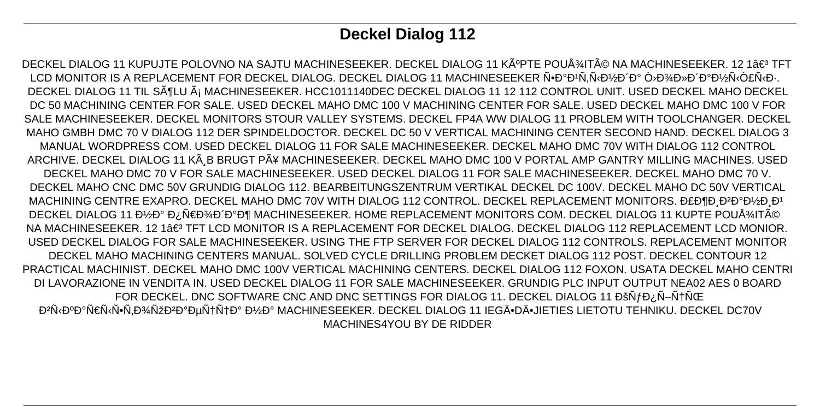# **Deckel Dialog 112**

DECKEL DIALOG 11 KUPUJTE POLOVNO NA SAJTU MACHINESEEKER. DECKEL DIALOG 11 KúPTE POUžITé NA MACHINESEEKER. 12 1â€<sup>3</sup> TFT LCD MONITOR IS A REPLACEMENT FOR DECKEL DIALOG. DECKEL DIALOG 11 MACHINESEEKER Ñ•Đ°Đ<sup>1</sup>Ñ,Ñ‹Đ½Đ´Đ° Ò›Đ¾Đ»Đ´Đ°Đ½Ñ‹Ò£Ñ‹Đ·. DECKEL DIALOG 11 TIL SöLU á MACHINESEEKER. HCC1011140DEC DECKEL DIALOG 11 12 112 CONTROL UNIT. USED DECKEL MAHO DECKEL DC 50 MACHINING CENTER FOR SALE. USED DECKEL MAHO DMC 100 V MACHINING CENTER FOR SALE. USED DECKEL MAHO DMC 100 V FOR SALE MACHINESEEKER. DECKEL MONITORS STOUR VALLEY SYSTEMS. DECKEL FP4A WW DIALOG 11 PROBLEM WITH TOOLCHANGER. DECKEL MAHO GMBH DMC 70 V DIALOG 112 DER SPINDELDOCTOR. DECKEL DC 50 V VERTICAL MACHINING CENTER SECOND HAND. DECKEL DIALOG 3 MANUAL WORDPRESS COM. USED DECKEL DIALOG 11 FOR SALE MACHINESEEKER. DECKEL MAHO DMC 70V WITH DIALOG 112 CONTROL ARCHIVE. DECKEL DIALOG 11 KÃ B BRUGT PÃ¥ MACHINESEEKER. DECKEL MAHO DMC 100 V PORTAL AMP GANTRY MILLING MACHINES. USED DECKEL MAHO DMC 70 V FOR SALE MACHINESEEKER. USED DECKEL DIALOG 11 FOR SALE MACHINESEEKER. DECKEL MAHO DMC 70 V. DECKEL MAHO CNC DMC 50V GRUNDIG DIALOG 112. BEARBEITUNGSZENTRUM VERTIKAL DECKEL DC 100V. DECKEL MAHO DC 50V VERTICAL MACHINING CENTRE EXAPRO. DECKEL MAHO DMC 70V WITH DIALOG 112 CONTROL. DECKEL REPLACEMENT MONITORS. Đ£Đ¶Đ Đ2аĐ½Đ Đ1 DECKEL DIALOG 11 Đ½Đ° Đ¿Ñ€Đ¾Đ Đ°Đ¶ MACHINESEEKER. HOME REPLACEMENT MONITORS COM. DECKEL DIALOG 11 KUPTE POUžITé NA MACHINESEEKER. 12 1 A€<sup>3</sup> TFT LCD MONITOR IS A REPLACEMENT FOR DECKEL DIALOG. DECKEL DIALOG 112 REPLACEMENT LCD MONIOR USED DECKEL DIALOG FOR SALE MACHINESEEKER. USING THE FTP SERVER FOR DECKEL DIALOG 112 CONTROLS. REPLACEMENT MONITOR DECKEL MAHO MACHINING CENTERS MANUAL. SOLVED CYCLE DRILLING PROBLEM DECKET DIALOG 112 POST. DECKEL CONTOUR 12 PRACTICAL MACHINIST. DECKEL MAHO DMC 100V VERTICAL MACHINING CENTERS. DECKEL DIALOG 112 FOXON. USATA DECKEL MAHO CENTRI DI LAVORAZIONE IN VENDITA IN. USED DECKEL DIALOG 11 FOR SALE MACHINESEEKER. GRUNDIG PLC INPUT OUTPUT NEA02 AES 0 BOARD FOR DECKEL. DNC SOFTWARE CNC AND DNC SETTINGS FOR DIALOG 11. DECKEL DIALOG 11 ĐŠNJ Đ¿N-NTNCE Đ<sup>2</sup>Ñ·ĐºĐ°Ñ€Ñ·Ñ•Ñ,Đ¾ÑžĐ<sup>2</sup>аецца Đ½Đ° MACHINESEEKER. DECKEL DIALOG 11 IEGÄ•DÄ•JIETIES LIETOTU TEHNIKU. DECKEL DC70V MACHINES4YOU BY DE RIDDER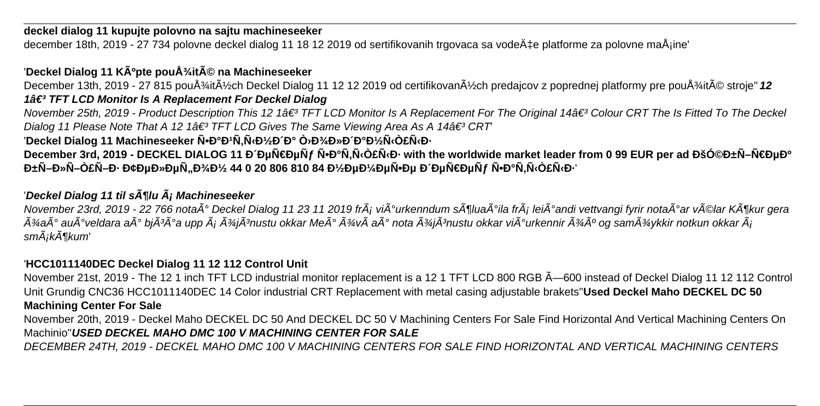#### **deckel dialog 11 kupujte polovno na sajtu machineseeker**

december 18th, 2019 - 27 734 polovne deckel dialog 11 18 12 2019 od sertifikovanih trgovaca sa vodeće platforme za polovne maÅjine'

## 'Deckel Dialog 11 KÃ<sup>o</sup>pte pouÅ<sup>3</sup>/<sub>4</sub>ité na Machineseeker

December 13th, 2019 - 27 815 použitých Deckel Dialog 11 12 12 2019 od certifikovaných predajcov z poprednej platformy pre použité stroje" 12 **1â€<sup>3</sup> TFT LCD Monitor Is A Replacement For Deckel Dialog** 

November 25th, 2019 - Product Description This 12 1â€<sup>3</sup> TFT LCD Monitor Is A Replacement For The Original 14â€<sup>3</sup> Colour CRT The Is Fitted To The Deckel Dialog 11 Please Note That A 12 1 $\hat{a} \in \hat{B}^3$  TFT LCD Gives The Same Viewing Area As A 14 $\hat{a} \in \hat{B}^3$  CRT

'Deckel Dialog 11 Machineseeker Ñ•Đ°Đ<sup>1</sup>Ñ,Ñ‹Đ½Đ´Đ° Ò›Đ¾Đ»Đ´Đ°Đ½Ñ‹Ò£Ñ‹Đ·

December 3rd, 2019 - DECKEL DIALOG 11 РеÑ€ĐµÑf ҕаÑ,ыңÑ‹Đ· with the worldwide market leader from 0 99 EUR per ad КөбÑ–Ñ€ĐµĐ° **бÑ–Đ»Ñ–Ò£Ñ–Đ• Đ¢ĐµĐ»ĐµÑ"Đ¾Đ¼ 44 0 20 806 810 84 Đ¼ĐµĐ¼ĐµÑ•Đµ деÑ€ĐµÑƒ Ñ•Đ°Ñ,ыңÑ‹Đ<sup>ֈ</sup>** 

## 'Deckel Dialog 11 til sĶlu Ä<sub>i</sub> Machineseeker

November 23rd, 2019 - 22 766 nota $\tilde{A}^{\circ}$ Deckel Dialog 11 23 11 2019 fr $\tilde{A}_i$  vi $\tilde{A}^{\circ}$ urkenndum s $\tilde{A}^{\prime\prime\prime}$ lla fr $\tilde{A}_i$  lei $\tilde{A}^{\circ}$ andi vettvangi fyrir nota $\tilde{A}^{\circ}$ ar v $\tilde{A}$ ©lar K $\tilde{A}^{\prime$  $\tilde{A}$ %a $\tilde{A}^\circ$  au $\tilde{A}^\circ$ veldara a $\tilde{A}^\circ$  bj $\tilde{A}^3$ A $\tilde{\theta}$ a upp  $\tilde{A}$ j $\tilde{A}^3$ aj $\tilde{A}^3$ nustu okkar Me $\tilde{A}^\circ$   $\tilde{A}^3$ y $\tilde{A}^\circ$ nota  $\tilde{A}^3$ yi $\tilde{A}^3$ nustu okkar vi $\tilde{A}^\circ$ urkennir  $\tilde{$  $sm\tilde{A}$ ik $\tilde{A}$ ¶kum'

## '**HCC1011140DEC Deckel Dialog 11 12 112 Control Unit**

November 21st, 2019 - The 12 1 inch TFT LCD industrial monitor replacement is a 12 1 TFT LCD 800 RGB  $\tilde{A}$ —600 instead of Deckel Dialog 11 12 112 Control Unit Grundig CNC36 HCC1011140DEC 14 Color industrial CRT Replacement with metal casing adjustable brakets''**Used Deckel Maho DECKEL DC 50 Machining Center For Sale**

November 20th, 2019 - Deckel Maho DECKEL DC 50 And DECKEL DC 50 V Machining Centers For Sale Find Horizontal And Vertical Machining Centers On Machinio''**USED DECKEL MAHO DMC 100 V MACHINING CENTER FOR SALE**

DECEMBER 24TH, 2019 - DECKEL MAHO DMC 100 V MACHINING CENTERS FOR SALE FIND HORIZONTAL AND VERTICAL MACHINING CENTERS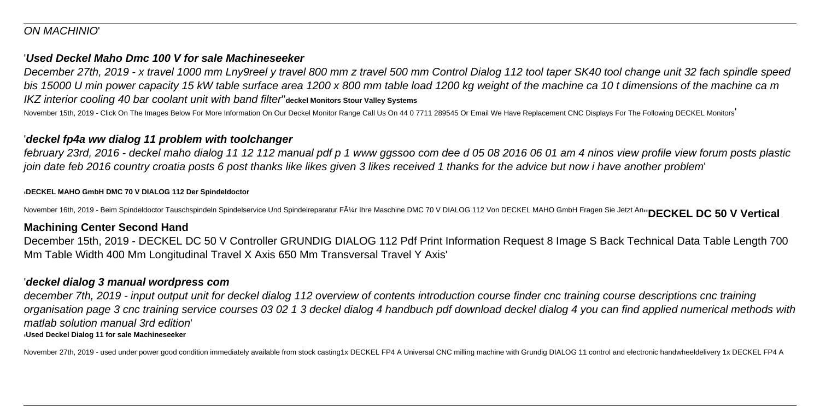#### ON MACHINIO'

#### '**Used Deckel Maho Dmc 100 V for sale Machineseeker**

December 27th, 2019 - x travel 1000 mm Lny9reel y travel 800 mm z travel 500 mm Control Dialog 112 tool taper SK40 tool change unit 32 fach spindle speed bis 15000 U min power capacity 15 kW table surface area 1200 x 800 mm table load 1200 kg weight of the machine ca 10 t dimensions of the machine ca m IKZ interior cooling 40 bar coolant unit with band filter''**deckel Monitors Stour Valley Systems**

November 15th, 2019 - Click On The Images Below For More Information On Our Deckel Monitor Range Call Us On 44 0 7711 289545 Or Email We Have Replacement CNC Displays For The Following DECKEL Monitors'

#### '**deckel fp4a ww dialog 11 problem with toolchanger**

february 23rd, 2016 - deckel maho dialog 11 12 112 manual pdf p 1 www ggssoo com dee d 05 08 2016 06 01 am 4 ninos view profile view forum posts plastic join date feb 2016 country croatia posts 6 post thanks like likes given 3 likes received 1 thanks for the advice but now i have another problem'

'**DECKEL MAHO GmbH DMC 70 V DIALOG 112 Der Spindeldoctor**

November 16th, 2019 - Beim Spindeldoctor Tauschspindeln Spindelservice Und Spindelreparatur Fļr Ihre Maschine DMC 70 V DIALOG 112 Von DECKEL MAHO GmbH Fragen Sie Jetzt An<sub>t</sub> DECKEL DC 50 V Vertical

#### **Machining Center Second Hand**

December 15th, 2019 - DECKEL DC 50 V Controller GRUNDIG DIALOG 112 Pdf Print Information Request 8 Image S Back Technical Data Table Length 700 Mm Table Width 400 Mm Longitudinal Travel X Axis 650 Mm Transversal Travel Y Axis'

#### '**deckel dialog 3 manual wordpress com**

december 7th, 2019 - input output unit for deckel dialog 112 overview of contents introduction course finder cnc training course descriptions cnc training organisation page 3 cnc training service courses 03 02 1 3 deckel dialog 4 handbuch pdf download deckel dialog 4 you can find applied numerical methods with matlab solution manual 3rd edition' '**Used Deckel Dialog 11 for sale Machineseeker**

November 27th, 2019 - used under power good condition immediately available from stock casting1x DECKEL FP4 A Universal CNC milling machine with Grundig DIALOG 11 control and electronic handwheeldelivery 1x DECKEL FP4 A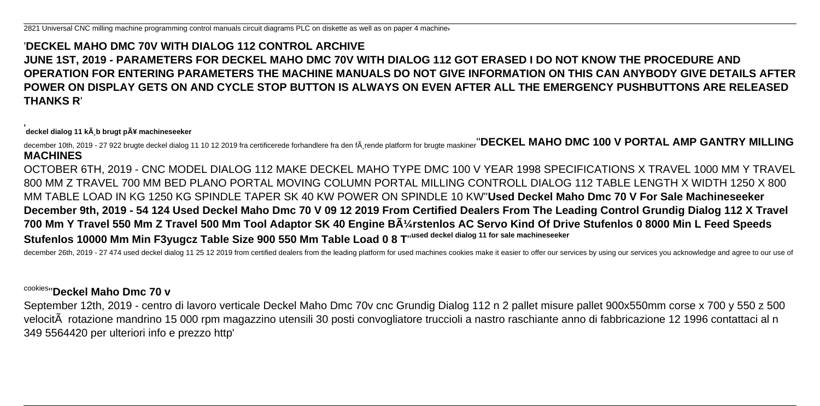## '**DECKEL MAHO DMC 70V WITH DIALOG 112 CONTROL ARCHIVE JUNE 1ST, 2019 - PARAMETERS FOR DECKEL MAHO DMC 70V WITH DIALOG 112 GOT ERASED I DO NOT KNOW THE PROCEDURE AND OPERATION FOR ENTERING PARAMETERS THE MACHINE MANUALS DO NOT GIVE INFORMATION ON THIS CAN ANYBODY GIVE DETAILS AFTER POWER ON DISPLAY GETS ON AND CYCLE STOP BUTTON IS ALWAYS ON EVEN AFTER ALL THE EMERGENCY PUSHBUTTONS ARE RELEASED THANKS R**'

'deckel dialog 11 kŠb brugt pť machineseeker

december 10th, 2019 - 27 922 brugte deckel dialog 11 10 12 2019 fra certificerede forhandlere fra den f $\tilde{A}$ ,rende platform for brugte maskiner<sup>''</sup>DECKEL MAHO DMC 100 V PORTAL AMP GANTRY MILLING **MACHINES**

OCTOBER 6TH, 2019 - CNC MODEL DIALOG 112 MAKE DECKEL MAHO TYPE DMC 100 V YEAR 1998 SPECIFICATIONS X TRAVEL 1000 MM Y TRAVEL 800 MM Z TRAVEL 700 MM BED PLANO PORTAL MOVING COLUMN PORTAL MILLING CONTROLL DIALOG 112 TABLE LENGTH X WIDTH 1250 X 800 MM TABLE LOAD IN KG 1250 KG SPINDLE TAPER SK 40 KW POWER ON SPINDLE 10 KW''**Used Deckel Maho Dmc 70 V For Sale Machineseeker December 9th, 2019 - 54 124 Used Deckel Maho Dmc 70 V 09 12 2019 From Certified Dealers From The Leading Control Grundig Dialog 112 X Travel** 700 Mm Y Travel 550 Mm Z Travel 500 Mm Tool Adaptor SK 40 Engine BA<sup>1</sup>/<sub>4</sub>rstenlos AC Servo Kind Of Drive Stufenlos 0 8000 Min L Feed Speeds **Stufenlos 10000 Mm Min F3yugcz Table Size 900 550 Mm Table Load 0 8 T**''**used deckel dialog 11 for sale machineseeker**

december 26th, 2019 - 27 474 used deckel dialog 11 25 12 2019 from certified dealers from the leading platform for used machines cookies make it easier to offer our services by using our services you acknowledge and agree

#### cookies''**Deckel Maho Dmc 70 v**

September 12th, 2019 - centro di lavoro verticale Deckel Maho Dmc 70v cnc Grundig Dialog 112 n 2 pallet misure pallet 900x550mm corse x 700 y 550 z 500 velocità rotazione mandrino 15 000 rpm magazzino utensili 30 posti convogliatore truccioli a nastro raschiante anno di fabbricazione 12 1996 contattaci al n 349 5564420 per ulteriori info e prezzo http'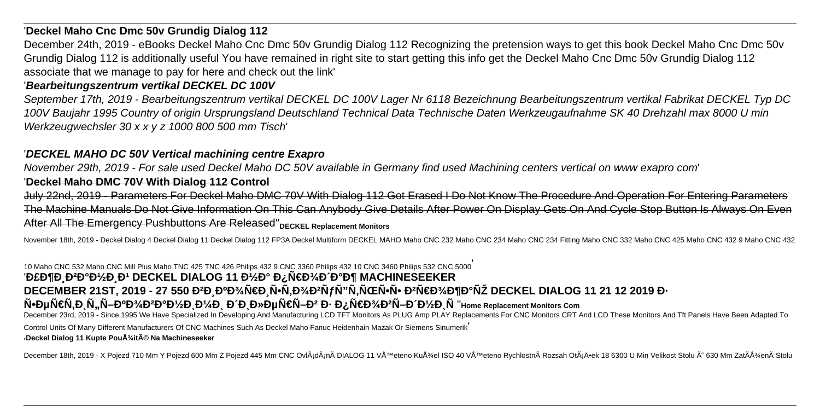#### '**Deckel Maho Cnc Dmc 50v Grundig Dialog 112**

December 24th, 2019 - eBooks Deckel Maho Cnc Dmc 50v Grundig Dialog 112 Recognizing the pretension ways to get this book Deckel Maho Cnc Dmc 50v Grundig Dialog 112 is additionally useful You have remained in right site to start getting this info get the Deckel Maho Cnc Dmc 50v Grundig Dialog 112 associate that we manage to pay for here and check out the link'

#### '**Bearbeitungszentrum vertikal DECKEL DC 100V**

September 17th, 2019 - Bearbeitungszentrum vertikal DECKEL DC 100V Lager Nr 6118 Bezeichnung Bearbeitungszentrum vertikal Fabrikat DECKEL Typ DC 100V Baujahr 1995 Country of origin Ursprungsland Deutschland Technical Data Technische Daten Werkzeugaufnahme SK 40 Drehzahl max 8000 U min Werkzeugwechsler 30 x x y z 1000 800 500 mm Tisch'

#### '**DECKEL MAHO DC 50V Vertical machining centre Exapro**

November 29th, 2019 - For sale used Deckel Maho DC 50V available in Germany find used Machining centers vertical on www exapro com' '**Deckel Maho DMC 70V With Dialog 112 Control**

July 22nd, 2019 - Parameters For Deckel Maho DMC 70V With Dialog 112 Got Erased I Do Not Know The Procedure And Operation For Entering Parameters The Machine Manuals Do Not Give Information On This Can Anybody Give Details After Power On Display Gets On And Cycle Stop Button Is Always On Even After All The Emergency Pushbuttons Are Released"<sub>DECKEL Replacement Monitors</sub>

November 18th, 2019 - Deckel Dialog 4 Deckel Dialog 11 Deckel Dialog 112 FP3A Deckel Multiform DECKEL MAHO Maho CNC 232 Maho CNC 234 Maho CNC 234 Fitting Maho CNC 332 Maho CNC 425 Maho CNC 432 9 Maho CNC 432

10 Maho CNC 532 Maho CNC Mill Plus Maho TNC 425 TNC 426 Philips 432 9 CNC 3360 Philips 432 10 CNC 3460 Philips 532 CNC 5000' 'Đ£Đ¶Đ Đ<del>2</del>аĐ¼Đ Đ1 DECKEL DIALOG 11 Đ¼Đ° Đ¿Ñ€Đ¾Đ Đ°Đ¶ MACHINESEEKER DECEMBER 21ST, 2019 - 27 550 Đ<sup>2</sup>Đ ĐºĐ¾Ñ€Đ Ñ•Ñ.Đ¾ĐºÑƒÑ"Ñ.ьѕÑ• ĐºÑ€Đ¾Đ¶Đ°ÑŽ DECKEL DIALOG 11 21 12 2019 Đ·  $\tilde{\mathsf{N}}$ **•** $\mathsf{D}$ µÑ€Ñ,Ð Ñ,,ікокÐ'/2Ð Đ'/2Ð A'/4Ð ⊕´Ð D»ÐµÑ€Ñ–Ð<sup>2</sup> Ð⋅ проÐ<sup>2</sup>Ñ–Ð Đ'/2Ð Ñ'Home Replacement Monitors Com December 23rd, 2019 - Since 1995 We Have Specialized In Developing And Manufacturing LCD TFT Monitors As PLUG Amp PLAY Replacements For CNC Monitors CRT And LCD These Monitors And Tft Panels Have Been Adapted To

Control Units Of Many Different Manufacturers Of CNC Machines Such As Deckel Maho Fanuc Heidenhain Mazak Or Siemens Sinumerik' '**Deckel Dialog 11 Kupte Použité Na Machineseeker**

December 18th, 2019 - X Pojezd 710 Mm Y Pojezd 600 Mm Z Pojezd 445 Mm CNC OvlÃjdÃjnà DIALOG 11 VÅ™eteno Kužel ISO 40 VÅ™eteno Rychlostnà Rozsah OtÃjÄ•ek 18 6300 U Min Velikost Stolu Ã~ 630 Mm ZatÞenà Stolu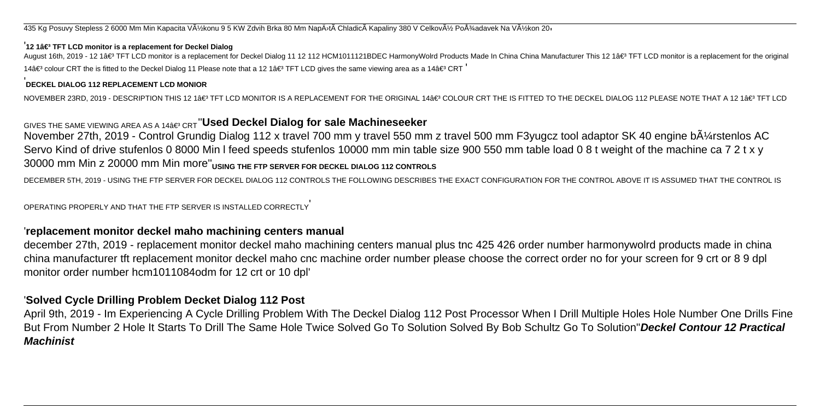435 Kg Posuvy Stepless 2 6000 Mm Min Kapacita Výkonu 9 5 KW Zdvih Brka 80 Mm NapÄ<sup>}</sup>tà Chladicà Kapaliny 380 V Celkový Požadavek Na Výkon 20<sub>1</sub>

#### <sup>1</sup>12 1â€<sup>3</sup> TFT LCD monitor is a replacement for Deckel Dialog

August 16th, 2019 - 12 1â€<sup>3</sup> TFT LCD monitor is a replacement for Deckel Dialog 11 12 112 HCM1011121BDEC HarmonyWolrd Products Made In China China Manufacturer This 12 1â€<sup>3</sup> TFT LCD monitor is a replacement for the orig 14 $â€$ ° colour CRT the is fitted to the Deckel Dialog 11 Please note that a 12 1 $â€$ ° TFT LCD gives the same viewing area as a 14 $â€$ ° CRT

#### '**DECKEL DIALOG 112 REPLACEMENT LCD MONIOR**

NOVEMBER 23RD, 2019 - DESCRIPTION THIS 12 1â€3 TFT LCD MONITOR IS A REPLACEMENT FOR THE ORIGINAL 14â€3 COLOUR CRT THE IS FITTED TO THE DECKEL DIALOG 112 PLEASE NOTF THAT A 12 1â€3 TFT I CD

## GIVES THE SAME VIEWING AREA AS A 14 a€<sup>3</sup> CRT</sub>"Used Deckel Dialog for sale Machineseeker

November 27th, 2019 - Control Grundig Dialog 112 x travel 700 mm y travel 550 mm z travel 500 mm F3yugcz tool adaptor SK 40 engine bA $\frac{1}{4}$ rstenlos AC Servo Kind of drive stufenlos 0 8000 Min I feed speeds stufenlos 10000 mm min table size 900 550 mm table load 0 8 t weight of the machine ca 7 2 t x y 30000 mm Min z 20000 mm Min more''**USING THE FTP SERVER FOR DECKEL DIALOG 112 CONTROLS**

DECEMBER 5TH, 2019 - USING THE FTP SERVER FOR DECKEL DIALOG 112 CONTROLS THE FOLLOWING DESCRIBES THE EXACT CONFIGURATION FOR THE CONTROL ABOVE IT IS ASSUMED THAT THE CONTROL IS

OPERATING PROPERLY AND THAT THE FTP SERVER IS INSTALLED CORRECTLY'

#### '**replacement monitor deckel maho machining centers manual**

december 27th, 2019 - replacement monitor deckel maho machining centers manual plus tnc 425 426 order number harmonywolrd products made in china china manufacturer tft replacement monitor deckel maho cnc machine order number please choose the correct order no for your screen for 9 crt or 8 9 dpl monitor order number hcm1011084odm for 12 crt or 10 dpl'

#### '**Solved Cycle Drilling Problem Decket Dialog 112 Post**

April 9th, 2019 - Im Experiencing A Cycle Drilling Problem With The Deckel Dialog 112 Post Processor When I Drill Multiple Holes Hole Number One Drills Fine But From Number 2 Hole It Starts To Drill The Same Hole Twice Solved Go To Solution Solved By Bob Schultz Go To Solution''**Deckel Contour 12 Practical Machinist**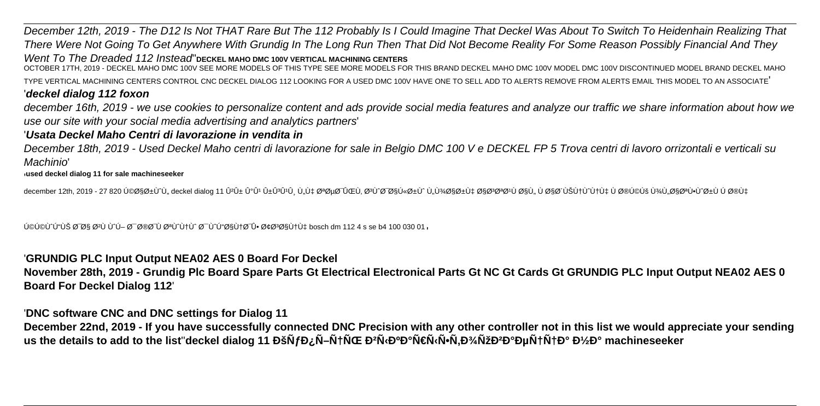December 12th, 2019 - The D12 Is Not THAT Rare But The 112 Probably Is I Could Imagine That Deckel Was About To Switch To Heidenhain Realizing That There Were Not Going To Get Anywhere With Grundig In The Long Run Then That Did Not Become Reality For Some Reason Possibly Financial And They Went To The Dreaded 112 Instead''**DECKEL MAHO DMC 100V VERTICAL MACHINING CENTERS**

OCTOBER 17TH, 2019 - DECKEL MAHO DMC 100V SEE MORE MODELS OF THIS TYPE SEE MORE MODELS FOR THIS BRAND DECKEL MAHO DMC 100V MODEL DMC 100V DISCONTINUED MODEL BRAND DECKEL MAHO TYPE VERTICAL MACHINING CENTERS CONTROL CNC DECKEL DIALOG 112 LOOKING FOR A USED DMC 100V HAVE ONE TO SELL ADD TO ALERTS REMOVE FROM ALERTS EMAIL THIS MODEL TO AN ASSOCIATE'

#### '**deckel dialog 112 foxon**

december 16th, 2019 - we use cookies to personalize content and ads provide social media features and analyze our traffic we share information about how we use our site with your social media advertising and analytics partners'

#### '**Usata Deckel Maho Centri di lavorazione in vendita in**

December 18th, 2019 - Used Deckel Maho centri di lavorazione for sale in Belgio DMC 100 V e DECKEL FP 5 Trova centri di lavoro orrizontali e verticali su Machinio'

#### '**used deckel dialog 11 for sale machineseeker**

december 12th, 2019 - 27 820 کارÙ^Ù" deckel dialog 11 ÛºÛ± Û°Ûº Û±ÛºÛ'Û\_Ù"Ù‡ تصØ~ÛŒÙ, تÙ^Ø=Ø\Ú &�±Ù Ù,U¾Ø§Ø±Ù‡ اغ@ªØºÙ اÙ" ٠اØ′ينÙ^نه ٠خکÚš پلاتÙ•Ù^رÙ Ú Ø®Ù‡

كونون نشك الله عند الله عليه الله عند الله عليه الله عليه الله عليه الله عليه الله عليه الله عليه الله عليه ال

#### '**GRUNDIG PLC Input Output NEA02 AES 0 Board For Deckel**

**November 28th, 2019 - Grundig Plc Board Spare Parts Gt Electrical Electronical Parts Gt NC Gt Cards Gt GRUNDIG PLC Input Output NEA02 AES 0 Board For Deckel Dialog 112**'

'**DNC software CNC and DNC settings for Dialog 11**

**December 22nd, 2019 - If you have successfully connected DNC Precision with any other controller not in this list we would appreciate your sending** us the details to add to the list"deckel dialog 11 ĐšÑfĐ¿Ñ–Ñ†ÑŒ Đ<sup>2</sup>Ñ‹Đ<sup>o</sup>арыÑ•Ñ,Đ¾ÑžĐ<sup>2</sup>аецца Đ½Đ° machineseeker